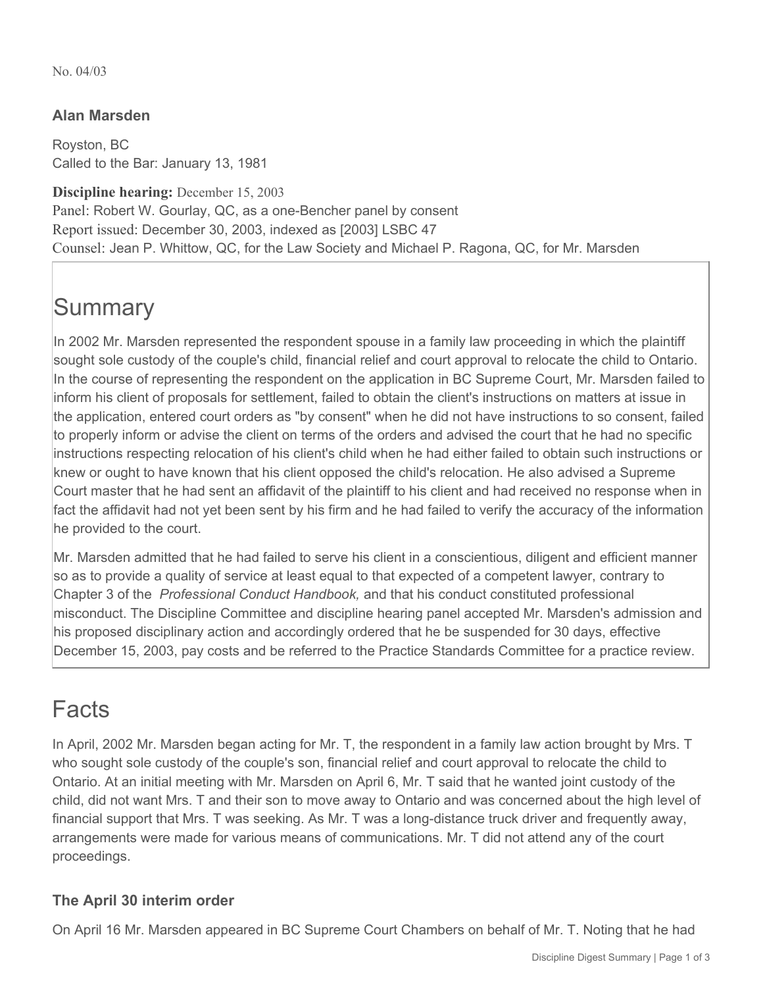No. 04/03

### **Alan Marsden**

Royston, BC Called to the Bar: January 13, 1981

**Discipline hearing:** December 15, 2003 Panel: Robert W. Gourlay, QC, as a one-Bencher panel by consent Report issued: December 30, 2003, indexed as [2003] LSBC 47 Counsel: Jean P. Whittow, QC, for the Law Society and Michael P. Ragona, QC, for Mr. Marsden

# **Summary**

In 2002 Mr. Marsden represented the respondent spouse in a family law proceeding in which the plaintiff sought sole custody of the couple's child, financial relief and court approval to relocate the child to Ontario. In the course of representing the respondent on the application in BC Supreme Court, Mr. Marsden failed to inform his client of proposals for settlement, failed to obtain the client's instructions on matters at issue in the application, entered court orders as "by consent" when he did not have instructions to so consent, failed to properly inform or advise the client on terms of the orders and advised the court that he had no specific instructions respecting relocation of his client's child when he had either failed to obtain such instructions or knew or ought to have known that his client opposed the child's relocation. He also advised a Supreme Court master that he had sent an affidavit of the plaintiff to his client and had received no response when in fact the affidavit had not yet been sent by his firm and he had failed to verify the accuracy of the information he provided to the court.

Mr. Marsden admitted that he had failed to serve his client in a conscientious, diligent and efficient manner so as to provide a quality of service at least equal to that expected of a competent lawyer, contrary to Chapter 3 of the *Professional Conduct Handbook,* and that his conduct constituted professional misconduct. The Discipline Committee and discipline hearing panel accepted Mr. Marsden's admission and his proposed disciplinary action and accordingly ordered that he be suspended for 30 days, effective December 15, 2003, pay costs and be referred to the Practice Standards Committee for a practice review.

## Facts

In April, 2002 Mr. Marsden began acting for Mr. T, the respondent in a family law action brought by Mrs. T who sought sole custody of the couple's son, financial relief and court approval to relocate the child to Ontario. At an initial meeting with Mr. Marsden on April 6, Mr. T said that he wanted joint custody of the child, did not want Mrs. T and their son to move away to Ontario and was concerned about the high level of financial support that Mrs. T was seeking. As Mr. T was a long-distance truck driver and frequently away, arrangements were made for various means of communications. Mr. T did not attend any of the court proceedings.

#### **The April 30 interim order**

On April 16 Mr. Marsden appeared in BC Supreme Court Chambers on behalf of Mr. T. Noting that he had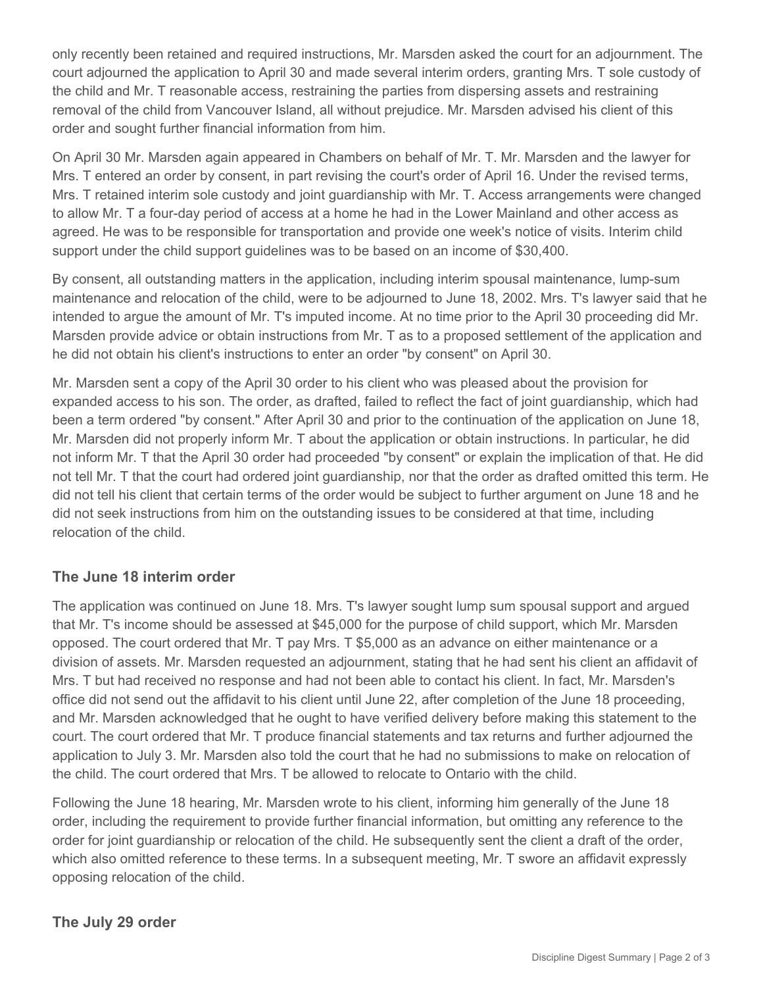only recently been retained and required instructions, Mr. Marsden asked the court for an adjournment. The court adjourned the application to April 30 and made several interim orders, granting Mrs. T sole custody of the child and Mr. T reasonable access, restraining the parties from dispersing assets and restraining removal of the child from Vancouver Island, all without prejudice. Mr. Marsden advised his client of this order and sought further financial information from him.

On April 30 Mr. Marsden again appeared in Chambers on behalf of Mr. T. Mr. Marsden and the lawyer for Mrs. T entered an order by consent, in part revising the court's order of April 16. Under the revised terms, Mrs. T retained interim sole custody and joint guardianship with Mr. T. Access arrangements were changed to allow Mr. T a four-day period of access at a home he had in the Lower Mainland and other access as agreed. He was to be responsible for transportation and provide one week's notice of visits. Interim child support under the child support guidelines was to be based on an income of \$30,400.

By consent, all outstanding matters in the application, including interim spousal maintenance, lump-sum maintenance and relocation of the child, were to be adjourned to June 18, 2002. Mrs. T's lawyer said that he intended to argue the amount of Mr. T's imputed income. At no time prior to the April 30 proceeding did Mr. Marsden provide advice or obtain instructions from Mr. T as to a proposed settlement of the application and he did not obtain his client's instructions to enter an order "by consent" on April 30.

Mr. Marsden sent a copy of the April 30 order to his client who was pleased about the provision for expanded access to his son. The order, as drafted, failed to reflect the fact of joint guardianship, which had been a term ordered "by consent." After April 30 and prior to the continuation of the application on June 18, Mr. Marsden did not properly inform Mr. T about the application or obtain instructions. In particular, he did not inform Mr. T that the April 30 order had proceeded "by consent" or explain the implication of that. He did not tell Mr. T that the court had ordered joint guardianship, nor that the order as drafted omitted this term. He did not tell his client that certain terms of the order would be subject to further argument on June 18 and he did not seek instructions from him on the outstanding issues to be considered at that time, including relocation of the child.

#### **The June 18 interim order**

The application was continued on June 18. Mrs. T's lawyer sought lump sum spousal support and argued that Mr. T's income should be assessed at \$45,000 for the purpose of child support, which Mr. Marsden opposed. The court ordered that Mr. T pay Mrs. T \$5,000 as an advance on either maintenance or a division of assets. Mr. Marsden requested an adjournment, stating that he had sent his client an affidavit of Mrs. T but had received no response and had not been able to contact his client. In fact, Mr. Marsden's office did not send out the affidavit to his client until June 22, after completion of the June 18 proceeding, and Mr. Marsden acknowledged that he ought to have verified delivery before making this statement to the court. The court ordered that Mr. T produce financial statements and tax returns and further adjourned the application to July 3. Mr. Marsden also told the court that he had no submissions to make on relocation of the child. The court ordered that Mrs. T be allowed to relocate to Ontario with the child.

Following the June 18 hearing, Mr. Marsden wrote to his client, informing him generally of the June 18 order, including the requirement to provide further financial information, but omitting any reference to the order for joint guardianship or relocation of the child. He subsequently sent the client a draft of the order, which also omitted reference to these terms. In a subsequent meeting, Mr. T swore an affidavit expressly opposing relocation of the child.